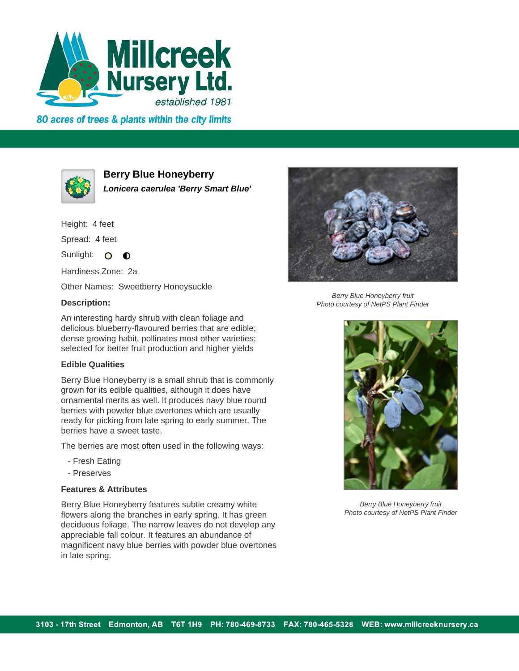

80 acres of trees & plants within the city limits



**Berry Blue Honeyberry**

**Lonicera caerulea 'Berry Smart Blue'**

Height: 4 feet Spread: 4 feet

Sunlight: O  $\bullet$ 

Hardiness Zone: 2a

Other Names: Sweetberry Honeysuckle

## **Description:**

An interesting hardy shrub with clean foliage and delicious blueberry-flavoured berries that are edible; dense growing habit, pollinates most other varieties; selected for better fruit production and higher yields

## **Edible Qualities**

Berry Blue Honeyberry is a small shrub that is commonly grown for its edible qualities, although it does have ornamental merits as well. It produces navy blue round berries with powder blue overtones which are usually ready for picking from late spring to early summer. The berries have a sweet taste.

The berries are most often used in the following ways:

- Fresh Eating
- Preserves

## **Features & Attributes**

Berry Blue Honeyberry features subtle creamy white flowers along the branches in early spring. It has green deciduous foliage. The narrow leaves do not develop any appreciable fall colour. It features an abundance of magnificent navy blue berries with powder blue overtones in late spring.



Berry Blue Honeyberry fruit Photo courtesy of NetPS Plant Finder



Berry Blue Honeyberry fruit Photo courtesy of NetPS Plant Finder